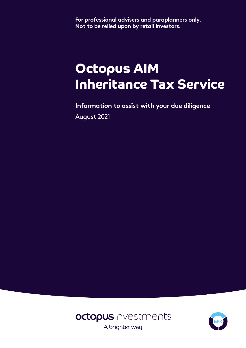**For professional advisers and paraplanners only. Not to be relied upon by retail investors.**

# **Octopus AIM Inheritance Tax Service**

**Information to assist with your due diligence** August 2021



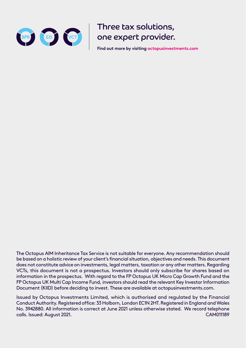

Three tax solutions, one expert provider.

**Find out more by visiting octopusinvestments.com**

The Octopus AIM Inheritance Tax Service is not suitable for everyone. Any recommendation should be based on a holistic review of your client's financial situation, objectives and needs. This document does not constitute advice on investments, legal matters, taxation or any other matters. Regarding VCTs, this document is not a prospectus. Investors should only subscribe for shares based on information in the prospectus. With regard to the FP Octopus UK Micro Cap Growth Fund and the FP Octopus UK Multi Cap Income Fund, investors should read the relevant Key Investor Information Document (KIID) before deciding to invest. These are available at octopusinvestments.com.

Issued by Octopus Investments Limited, which is authorised and regulated by the Financial Conduct Authority. Registered office: 33 Holborn, London EC1N 2HT. Registered in England and Wales No. 3942880. All information is correct at June 2021 unless otherwise stated. We record telephone calls. Issued: August 2021. CAM011189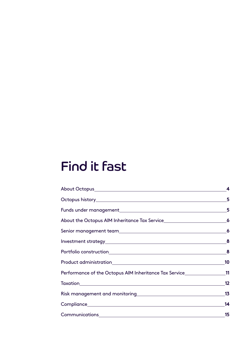# Find it fast

| About the Octopus AIM Inheritance Tax Service__________________________________6                                                     |    |
|--------------------------------------------------------------------------------------------------------------------------------------|----|
|                                                                                                                                      |    |
| $Investment strategy \begin{tabular}{c} {\bf\small Investment strategy} \end{tabular} \begin{tabular}{c} \bf\small 0} \end{tabular}$ |    |
|                                                                                                                                      |    |
|                                                                                                                                      |    |
| Performance of the Octopus AIM Inheritance Tax Service___________________11                                                          |    |
|                                                                                                                                      |    |
|                                                                                                                                      |    |
|                                                                                                                                      | 14 |
|                                                                                                                                      | 15 |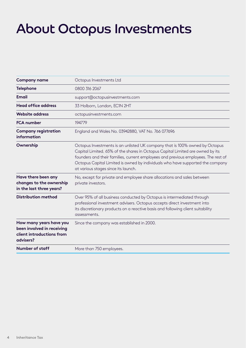# About Octopus Investments

| <b>Company name</b>                                                                             | Octopus Investments Ltd                                                                                                                                                                                                                                                                                                                                                      |  |  |  |  |
|-------------------------------------------------------------------------------------------------|------------------------------------------------------------------------------------------------------------------------------------------------------------------------------------------------------------------------------------------------------------------------------------------------------------------------------------------------------------------------------|--|--|--|--|
| <b>Telephone</b>                                                                                | 0800 316 2067                                                                                                                                                                                                                                                                                                                                                                |  |  |  |  |
| <b>Email</b>                                                                                    | support@octopusinvestments.com                                                                                                                                                                                                                                                                                                                                               |  |  |  |  |
| <b>Head office address</b>                                                                      | 33 Holborn, London, EC1N 2HT                                                                                                                                                                                                                                                                                                                                                 |  |  |  |  |
| <b>Website address</b>                                                                          | octopusinvestments.com                                                                                                                                                                                                                                                                                                                                                       |  |  |  |  |
| <b>FCA</b> number                                                                               | 194779                                                                                                                                                                                                                                                                                                                                                                       |  |  |  |  |
| <b>Company registration</b><br><b>information</b>                                               | England and Wales No. 03942880, VAT No. 766 077696                                                                                                                                                                                                                                                                                                                           |  |  |  |  |
| Ownership                                                                                       | Octopus Investments is an unlisted UK company that is 100% owned by Octopus<br>Capital Limited. 65% of the shares in Octopus Capital Limited are owned by its<br>founders and their families, current employees and previous employees. The rest of<br>Octopus Capital Limited is owned by individuals who have supported the company<br>at various stages since its launch. |  |  |  |  |
| Have there been any<br>changes to the ownership<br>in the last three years?                     | No, except for private and employee share allocations and sales between<br>private investors.                                                                                                                                                                                                                                                                                |  |  |  |  |
| <b>Distribution method</b>                                                                      | Over 95% of all business conducted by Octopus is intermediated through<br>professional investment advisers. Octopus accepts direct investment into<br>its discretionary products on a reactive basis and following client suitability<br>assessments.                                                                                                                        |  |  |  |  |
| How many years have you<br>been involved in receiving<br>client introductions from<br>advisers? | Since the company was established in 2000.                                                                                                                                                                                                                                                                                                                                   |  |  |  |  |
| <b>Number of staff</b>                                                                          | More than 750 employees.                                                                                                                                                                                                                                                                                                                                                     |  |  |  |  |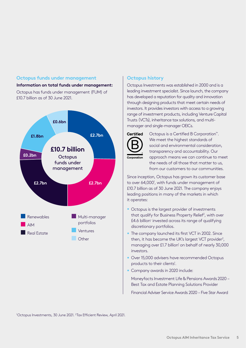#### **Octopus funds under management**

# **Information on total funds under management:**

Octopus has funds under management (FUM) of £10.7 billion as of 30 June 2021.



#### **Octopus history**

Octopus Investments was established in 2000 and is a leading investment specialist. Since launch, the company has developed a reputation for quality and innovation through designing products that meet certain needs of investors. It provides investors with access to a growing range of investment products, including Venture Capital Trusts (VCTs), inheritance tax solutions, and multimanager and single-manager OEICs.



Octopus is a Certified B Corporation™. We meet the highest standards of social and environmental consideration, transparency and accountability. Our approach means we can continue to meet the needs of all those that matter to us, from our customers to our communities.

Since inception, Octopus has grown its customer base to over 64,000<sup>1</sup>, with funds under management of £10.7 billion as of 30 June 2021. The company enjoys leading positions in many of the markets in which it operates:

- Octopus is the largest provider of investments that qualify for Business Property Relief<sup>2</sup>, with over £4.6 billion<sup>1</sup> invested across its range of qualifying discretionary portfolios.
- The company launched its first VCT in 2002. Since then, it has become the UK's largest VCT provider<sup>2</sup>, managing over £1.7 billion<sup>1</sup> on behalf of nearly 30,000 investors.
- Over 15,000 advisers have recommended Octopus products to their clients<sup>1</sup>.
- Company awards in 2020 include:

Moneyfacts Investment Life & Pensions Awards 2020 – Best Tax and Estate Planning Solutions Provider

Financial Adviser Service Awards 2020 – Five Star Award

<sup>1</sup>Octopus Investments, 30 June 2021. <sup>2</sup>Tax Efficient Review, April 2021.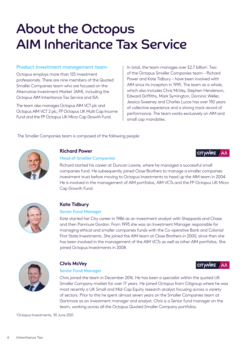# About the Octopus AIM Inheritance Tax Service

#### **Product investment management team**

Octopus employs more than 125 investment professionals. There are nine members of the Quoted Smaller Companies team who are focused on the Alternative Investment Market (AIM), including the Octopus AIM Inheritance Tax Service and ISA.

The team also manages Octopus AIM VCT plc and Octopus AIM VCT 2 plc, FP Octopus UK Multi Cap Income Fund and the FP Octopus UK Micro Cap Growth Fund.

In total, the team manages over £2.7 billion<sup>1</sup>. Two of the Octopus Smaller Companies team – Richard Power and Kate Tidbury – have been involved with AIM since its inception in 1995. The team as a whole, which also includes Chris McVey, Stephen Henderson, Edward Griffiths, Mark Symington, Dominic Weller, Jessica Sweeney and Charles Lucas has over 150 years of collective experience and a strong track record of performance. The team works exclusively on AIM and small cap mandates.

AA

**CITVWIRE** 

**CITVWIRE** 

**AA** 

The Smaller Companies team is composed of the following people:



#### **Richard Power**

#### **Head of Smaller Companies**

Richard started his career at Duncan Lawrie, where he managed a successful small companies fund. He subsequently joined Close Brothers to manage a smaller companies investment trust before moving to Octopus Investments to head up the AIM team in 2004. He is involved in the management of AIM portfolios, AIM VCTs and the FP Octopus UK Micro



# **Kate Tidbury**

Cap Growth Fund.

#### **Senior Fund Manager**

Kate started her City career in 1986 as an investment analyst with Sheppards and Chase and then Panmure Gordon. From 1993 she was an Investment Manager responsible for managing ethical and smaller companies funds with the Co-operative Bank and Colonial First State Investments. She joined the AIM team at Close Brothers in 2000, since then she has been involved in the management of the AIM VCTs as well as other AIM portfolios. She joined Octopus Investments in 2008.



# **Chris McVey**

#### **Senior Fund Manager**

Chris joined the team in December 2016. He has been a specialist within the quoted UK Smaller Company market for over 17 years. He joined Octopus from Citigroup where he was most recently a UK Small and Mid-Cap Equity research analyst focusing across a variety of sectors. Prior to this he spent almost seven years on the Smaller Companies team at Gartmore as an investment manager and analyst. Chris is a Senior fund manager on the team, working across all the Octopus Quoted Smaller Company portfolios.

1 Octopus Investments, 30 June 2021.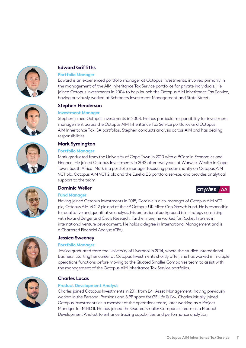

# **Edward Griffiths**

#### **Portfolio Manager**

Edward is an experienced portfolio manager at Octopus Investments, involved primarily in the management of the AIM Inheritance Tax Service portfolios for private individuals. He joined Octopus Investments in 2004 to help launch the Octopus AIM Inheritance Tax Service, having previously worked at Schroders Investment Management and State Street.

### **Stephen Henderson**

#### **Investment Manager**

Stephen joined Octopus Investments in 2008. He has particular responsibility for investment management across the Octopus AIM Inheritance Tax Service portfolios and Octopus AIM Inheritance Tax ISA portfolios. Stephen conducts analysis across AIM and has dealing responsibilities.



# **Mark Symington**

#### **Portfolio Manager**

Mark graduated from the University of Cape Town in 2010 with a BCom in Economics and Finance. He joined Octopus Investments in 2012 after two years at Warwick Wealth in Cape Town, South Africa. Mark is a portfolio manager focussing predominantly on Octopus AIM VCT plc, Octopus AIM VCT 2 plc and the Eureka EIS portfolio service, and provides analytical support to the team.



# **Dominic Weller**

#### **Fund Manager**

Having joined Octopus Investments in 2015, Dominic is a co-manager of Octopus AIM VCT plc, Octopus AIM VCT 2 plc and of the FP Octopus UK Micro Cap Growth Fund. He is responsible for qualitative and quantitative analysis. His professional background is in strategy consulting with Roland Berger and Clevis Research. Furthermore, he worked for Rocket Internet in international venture development. He holds a degree in International Management and is a Chartered Financial Analyst (CFA).



# **Jessica Sweeney**

#### **Portfolio Manager**

Jessica graduated from the University of Liverpool in 2014, where she studied International Business. Starting her career at Octopus Investments shortly after, she has worked in multiple operations functions before moving to the Quoted Smaller Companies team to assist with the management of the Octopus AIM Inheritance Tax Service portfolios.



# **Charles Lucas**

#### **Product Development Analyst**

Charles joined Octopus Investments in 2011 from LV= Asset Management, having previously worked in the Personal Pensions and SIPP space for GE Life & LV=. Charles initially joined Octopus Investments as a member of the operations team, later working as a Project Manager for MiFID II. He has joined the Quoted Smaller Companies team as a Product Development Analyst to enhance trading capabilities and performance analytics.

CITYWIRE AA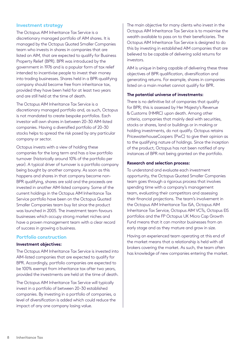#### **Investment strategy**

The Octopus AIM Inheritance Tax Service is a discretionary managed portfolio of AIM shares. It is managed by the Octopus Quoted Smaller Companies team who invests in shares in companies that are listed on AIM, that are expected to qualify for Business Property Relief (BPR). BPR was introduced by the government in 1976 and is a popular form of tax relief intended to incentivise people to invest their money into trading businesses. Shares held in a BPR-qualifying company should become free from inheritance tax, provided they have been held for at least two years and are still held at the time of death.

The Octopus AIM Inheritance Tax Service is a discretionary managed portfolio and, as such, Octopus is not mandated to create bespoke portfolios. Each investor will own shares in between 20–30 AIM-listed companies. Having a diversified portfolio of 20–30 stocks helps to spread the risk posed by any particular company or sector.

Octopus invests with a view of holding these companies for the long term and has a low portfolio turnover (historically around 10% of the portfolio per year). A typical driver of turnover is a portfolio company being bought by another company. As soon as this happens and shares in that company become non-BPR qualifying, shares are sold and the proceeds are invested in another AIM-listed company. Some of the current holdings in the Octopus AIM Inheritance Tax Service portfolio have been on the Octopus Quoted Smaller Companies team buy list since the product was launched in 2005. The investment team favours businesses which occupy strong market niches and have a proven management team with a clear record of success in growing a business.

#### **Portfolio construction**

#### **Investment objectives:**

The Octopus AIM Inheritance Tax Service is invested into AIM-listed companies that are expected to qualify for BPR. Accordingly, portfolio companies are expected to be 100% exempt from inheritance tax after two years, provided the investments are held at the time of death.

The Octopus AIM Inheritance Tax Service will typically invest in a portfolio of between 20–30 established companies. By investing in a portfolio of companies, a level of diversification is added which could reduce the impact of any one company losing value.

The main objective for many clients who invest in the Octopus AIM Inheritance Tax Service is to maximise the wealth available to pass on to their beneficiaries. The Octopus AIM Inheritance Tax Service is designed to do this by investing in established AIM companies that are believed to be capable of delivering solid returns for investors.

AIM is unique in being capable of delivering these three objectives of BPR qualification, diversification and generating returns. For example, shares in companies listed on a main market cannot qualify for BPR.

#### **The potential universe of investments:**

There is no definitive list of companies that qualify for BPR; this is assessed by Her Majesty's Revenue & Customs (HMRC) upon death. Among other criteria, companies that mainly deal with securities, stocks or shares, land or buildings or in making or holding investments, do not qualify. Octopus retains PricewaterhouseCoopers (PwC) to give their opinion as to the qualifying nature of holdings. Since the inception of the product, Octopus has not been notified of any instances of BPR not being granted on the portfolio.

#### **Research and selection process:**

To understand and evaluate each investment opportunity, the Octopus Quoted Smaller Companies team goes through a rigorous process that involves spending time with a company's management team, evaluating their competitors and assessing their financial projections. The team's involvement in the Octopus AIM Inheritance Tax ISA, Octopus AIM Inheritance Tax Service, Octopus AIM VCTs, Octopus EIS portfolios and the FP Octopus UK Micro Cap Growth Fund means that it can monitor businesses from an early stage and as they mature and grow in size.

Having an experienced team operating at this end of the market means that a relationship is held with all brokers covering the market. As such, the team often has knowledge of new companies entering the market.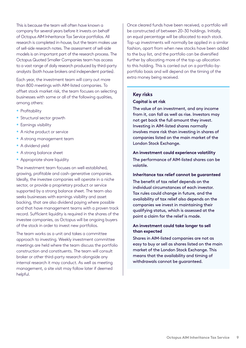This is because the team will often have known a company for several years before it invests on behalf of Octopus AIM Inheritance Tax Service portfolios. All research is completed in-house, but the team makes use of sell-side research notes. The assessment of sell-side models is an important part of the research process. The Octopus Quoted Smaller Companies team has access to a vast range of daily research produced by third-party analysts (both house brokers and independent parties).

Each year, the investment team will carry out more than 800 meetings with AIM-listed companies. To offset stock market risk, the team focuses on selecting businesses with some or all of the following qualities, among others:

- Profitability
- Structural sector growth
- Earnings visibility
- A niche product or service
- A strong management team
- A dividend yield
- A strong balance sheet
- Appropriate share liquidity

The investment team focuses on well-established, growing, profitable and cash-generative companies. Ideally, the investee companies will operate in a niche sector, or provide a proprietary product or service supported by a strong balance sheet. The team also seeks businesses with earnings visibility and asset backing, that are also dividend paying where possible and that have management teams with a proven track record. Sufficient liquidity is required in the shares of the investee companies, as Octopus will be ongoing buyers of the stock in order to invest new portfolios.

The team works as a unit and takes a committee approach to investing. Weekly investment committee meetings are held where the team discuss the portfolio construction and constituents. The team will consult broker or other third-party research alongside any internal research it may conduct. As well as meeting management, a site visit may follow later if deemed helpful.

Once cleared funds have been received, a portfolio will be constructed of between 20–30 holdings. Initially, an equal percentage will be allocated to each stock. Top-up investments will normally be applied in a similar fashion, apart from when new stocks have been added to the buy list, and the portfolio can be diversified further by allocating more of the top-up allocation to this holding. This is carried out on a portfolio-byportfolio basis and will depend on the timing of the extra money being received.

#### **Key risks**

#### **Capital is at risk**

The value of an investment, and any income from it, can fall as well as rise. Investors may not get back the full amount they invest. Investing in AIM-listed shares normally involves more risk than investing in shares of companies listed on the main market of the London Stock Exchange.

#### **An investment could experience volatility**

The performance of AIM-listed shares can be volatile.

#### **Inheritance tax relief cannot be guaranteed**

The benefit of tax relief depends on the individual circumstances of each investor. Tax rules could change in future, and the availability of tax relief also depends on the companies we invest in maintaining their qualifying status, which is assessed at the point a claim for the relief is made.

#### **An investment could take longer to sell than expected**

Shares in AIM-listed companies are not as easy to buy or sell as shares listed on the main market of the London Stock Exchange. This means that the availability and timing of withdrawals cannot be guaranteed.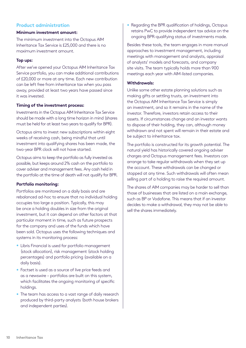# **Product administration**

#### **Minimum investment amount:**

The minimum investment into the Octopus AIM Inheritance Tax Service is £25,000 and there is no maximum investment amount.

#### **Top ups:**

After we've opened your Octopus AIM Inheritance Tax Service portfolio, you can make additional contributions of £20,000 or more at any time. Each new contribution can be left free from inheritance tax when you pass away, provided at least two years have passed since it was invested.

#### **Timing of the investment process:**

Investments in the Octopus AIM Inheritance Tax Service should be made with a long time horizon in mind (shares must be held for at least two years to qualify for BPR).

Octopus aims to invest new subscriptions within eight weeks of receiving cash, being mindful that until investment into qualifying shares has been made, the two-year BPR clock will not have started.

Octopus aims to keep the portfolio as fully invested as possible, but keeps around 2% cash on the portfolio to cover adviser and management fees. Any cash held in the portfolio at the time of death will not qualify for BPR.

#### **Portfolio monitoring:**

Portfolios are monitored on a daily basis and are rebalanced ad-hoc to ensure that no individual holding occupies too large a position. Typically, this may be once a holding doubles in size from the original investment, but it can depend on other factors at that particular moment in time, such as future prospects for the company and uses of the funds which have been sold. Octopus uses the following techniques and systems in its monitoring process:

- Libris Financial is used for portfolio management (stock allocation), risk management (stock holding percentages) and portfolio pricing (available on a daily basis).
- Factset is used as a source of live price feeds and as a newswire – portfolios are built on this system, which facilitates the ongoing monitoring of specific holdings.
- The team has access to a vast range of daily research produced by third-party analysts (both house brokers and independent parties).

• Regarding the BPR qualification of holdings, Octopus retains PwC to provide independent tax advice on the ongoing BPR-qualifying status of investments made.

Besides these tools, the team engages in more manual approaches to investment management, including meetings with management and analysts, appraisal of analysts' models and forecasts, and company site visits. The team typically holds more than 900 meetings each year with AIM-listed companies.

#### **Withdrawals:**

Unlike some other estate planning solutions such as making gifts or settling trusts, an investment into the Octopus AIM Inheritance Tax Service is simply an investment, and so it remains in the name of the investor. Therefore, investors retain access to their assets. If circumstances change and an investor wants to dispose of their holding, they can, although money withdrawn and not spent will remain in their estate and be subject to inheritance tax.

The portfolio is constructed for its growth potential. The natural yield has historically covered ongoing adviser charges and Octopus management fees. Investors can arrange to take regular withdrawals when they set up the account. These withdrawals can be changed or stopped at any time. Such withdrawals will often mean selling part of a holding to raise the required amount.

The shares of AIM companies may be harder to sell than those of businesses that are listed on a main exchange, such as BP or Vodafone. This means that if an investor decides to make a withdrawal, they may not be able to sell the shares immediately.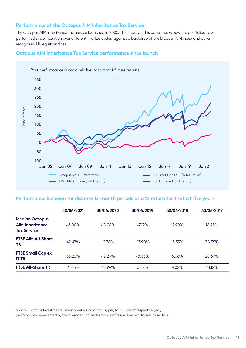### **Performance of the Octopus AIM Inheritance Tax Service**

The Octopus AIM Inheritance Tax Service launched in 2005. The chart on this page shows how the portfolios have performed since inception over different market cycles, against a backdrop of the broader AIM index and other recognised UK equity indices.

### **Octopus AIM Inheritance Tax Service performance since launch**



#### **Performance is shown for discrete 12-month periods as a % return for the last five years**

|                                                                       | 30/06/2021 | 30/06/2020 | 30/06/2019 | 30/06/2018 | 30/06/2017 |
|-----------------------------------------------------------------------|------------|------------|------------|------------|------------|
| <b>Median Octopus</b><br><b>AIM Inheritance</b><br><b>Tax Service</b> | 43.08%     | $-18.08%$  | $-7.17\%$  | 12.90%     | 18.25%     |
| <b>FTSE AIM All-Share</b><br><b>TR</b>                                | 42.47%     | $-2.78%$   | $-13.90\%$ | 13.53%     | 38.55%     |
| <b>FTSE Small Cap ex</b><br><b>IT TR</b>                              | 65.20%     | $-12.29%$  | $-8.63\%$  | $6.36\%$   | 28.39%     |
| <b>FTSE All-Share TR</b>                                              | 21.45%     | $-12.99\%$ | $0.57\%$   | $9.02\%$   | 18.12%     |

Source: Octopus Investments, Investment Association, Lipper, to 30 June of respective year,

performance represented by the average fund performance of respective IA total return sectors.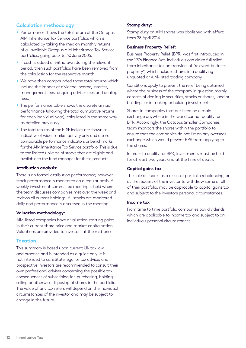# **Calculation methodology**

- Performance shows the total return of the Octopus AIM Inheritance Tax Service portfolios which is calculated by taking the median monthly returns of all available Octopus AIM Inheritance Tax Service portfolios, going back to 30 June 2005.
- If cash is added or withdrawn during the relevant period, then such portfolios have been removed from the calculation for the respective month.
- We have then compounded those total returns which include the impact of dividend income, interest, management fees, ongoing adviser fees and dealing fees.
- The performance table shows the discrete annual performance (showing the total cumulative returns for each individual year), calculated in the same way as detailed previously.
- The total returns of the FTSE indices are shown as indicative of wider market activity only and are not comparable performance indicators or benchmarks for the AIM Inheritance Tax Service portfolio. This is due to the limited universe of stocks that are eligible and available to the fund manager for these products.

#### **Attribution analysis:**

There is no formal attribution performance; however, stock performance is monitored on a regular basis. A weekly investment committee meeting is held where the team discusses companies met over the week and reviews all current holdings. All stocks are monitored daily and performance is discussed in the meeting.

#### **Valuation methodology:**

AIM-listed companies have a valuation starting point in their current share price and market capitalisation. Valuations are provided to investors at the mid-price.

#### **Taxation**

This summary is based upon current UK tax law and practice and is intended as a guide only. It is not intended to constitute legal or tax advice, and prospective investors are recommended to consult their own professional adviser concerning the possible tax consequences of subscribing for, purchasing, holding, selling or otherwise disposing of shares in the portfolio. The value of any tax reliefs will depend on the individual circumstances of the investor and may be subject to change in the future.

#### **Stamp duty:**

Stamp duty on AIM shares was abolished with effect from 28 April 2014.

#### **Business Property Relief:**

Business Property Relief (BPR) was first introduced in the 1976 Finance Act. Individuals can claim full relief from inheritance tax on transfers of "relevant business property", which includes shares in a qualifying unquoted or AIM-listed trading company.

Conditions apply to prevent the relief being obtained where the business of the company in question mainly consists of dealing in securities, stocks or shares, land or buildings or in making or holding investments.

Shares in companies that are listed on a main exchange anywhere in the world cannot qualify for BPR. Accordingly, the Octopus Smaller Companies team monitors the shares within the portfolio to ensure that the companies do not list on any overseas exchange which would prevent BPR from applying to the shares.

In order to qualify for BPR, investments must be held for at least two years and at the time of death.

#### **Capital gains tax**

The sale of shares as a result of portfolio rebalancing, or at the request of the investor to withdraw some or all of their portfolio, may be applicable to capital gains tax and subject to the investors personal circumstances.

#### **Income tax**

From time to time portfolio companies pay dividends which are applicable to income tax and subject to an individuals personal circumstances.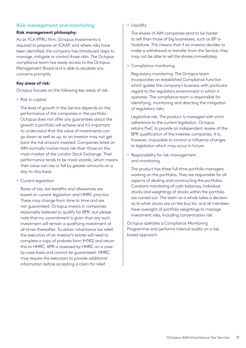# **Risk management and monitoring**

#### **Risk management philosophy:**

As an FCA IFPRU firm, Octopus Investments is required to prepare an ICAAP, and where risks have been identified, the company has introduced steps to manage, mitigate or control those risks. The Octopus compliance team has ready access to the Octopus Management Board and is able to escalate any concerns promptly.

#### **Key areas of risk:**

Octopus focuses on the following key areas of risk:

• Risk to capital

The level of growth in the Service depends on the performance of the companies in the portfolio. Octopus does not offer any guarantees about the growth a portfolio will achieve and it's important to understand that the value of investments can go down as well as up, so an investor may not get back the full amount invested. Companies listed on AIM normally involve more risk than those on the main market of the London Stock Exchange. Their performance tends to be more volatile, which means their value can rise or fall by greater amounts on a day-to-day basis.

• Current legislation

Rates of tax, tax benefits and allowances are based on current legislation and HMRC practice. These may change from time to time and are not guaranteed. Octopus invests in companies reasonably believed to qualify for BPR, but please note that no commitment is given that any such investment will remain a qualifying investment at all times thereafter. To obtain inheritance tax relief, the executors of an investor's estate will need to complete a copy of probate form IHT412 and return this to HMRC. BPR is assessed by HMRC on a caseby-case basis and cannot be guaranteed. HMRC may require the executors to provide additional information before accepting a claim for relief.

• Liquidity

The shares of AIM companies tend to be harder to sell than those of big businesses, such as BP or Vodafone. This means that if an investor decides to make a withdrawal or transfer from the Service, they may not be able to sell the shares immediately.

• Compliance monitoring

Regulatory monitoring: The Octopus team incorporates an established Compliance function which guides the company's business with particular regard to the regulatory environment in which it operates. The compliance team is responsible for identifying, monitoring and directing the mitigation of regulatory risks.

Legislative risk: The product is managed with strict adherence to the current legislation. Octopus retains PwC to provide an independent review of the BPR qualification of the investee companies. It is, however, impossible to control or influence changes to legislation which may occur in future.

• Responsibility for risk management and monitoring

The product has three full-time portfolio managers working on the portfolios. They are responsible for all aspects of dealing and constructing the portfolios. Constant monitoring of cash balances, individual stocks and weightings of stocks within the portfolio are carried out. The team as a whole takes a decision as to what stocks are on the buy list, and all members have oversight of portfolio weightings to manage investment risks, including concentration risk.

Octopus operates a Compliance Monitoring Programme and performs internal audits on a riskbased approach.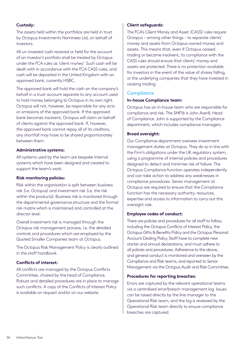#### **Custody:**

The assets held within the portfolios are held in trust by Octopus Investments Nominees Ltd, on behalf of investors.

All un-invested cash received or held for the account of an investor's portfolio shall be treated by Octopus under the FCA rules as 'client money'. Such cash will be dealt with in accordance with the FCA CASS rules, and cash will be deposited in the United Kingdom with an approved bank, currently HSBC.

The approved bank will hold the cash on the company's behalf in a trust account separate to any account used to hold money belonging to Octopus in its own right. Octopus will not, however, be responsible for any acts or omissions of the approved bank. If the approved bank becomes insolvent, Octopus will claim on behalf of clients against the approved bank. If, however, the approved bank cannot repay all of its creditors, any shortfall may have to be shared proportionately between them.

#### **Administrative systems:**

All systems used by the team are bespoke internal systems which have been designed and created to support the team's work.

#### **Risk monitoring policies:**

Risk within the organisation is split between business risk (i.e. Octopus) and investment risk (i.e. the risk within the products). Business risk is monitored through the departmental governance structure and the formal risk matrix which is maintained and controlled at the director level.

Overall investment risk is managed through the Octopus risk management process, i.e. the detailed controls and procedures which are employed by the Quoted Smaller Companies team at Octopus.

The Octopus Risk Management Policy is clearly outlined in the staff handbook.

#### **Conflicts of interest:**

All conflicts are managed by the Octopus Conflicts Committee, chaired by the head of Compliance. Robust and detailed procedures are in place to manage such conflicts. A copy of the Conflicts of Interest Policy is available on request and/or on our website.

#### **Client safeguards:**

The FCA's Client Money and Asset (CASS) rules require Octopus – among other things – to separate clients' money and assets from Octopus-owned money and assets. This means that, even if Octopus ceased trading or became insolvent, its compliance with the CASS rules should ensure that clients' money and assets are protected. There is no protection available for investors in the event of the value of shares falling, or the underlying companies that they have invested in ceasing trading.

#### **Compliance**

#### **In-house Compliance team:**

Octopus has an in-house team who are responsible for compliance and risk. The SMF16 is John Averill, Head of Compliance. John is supported by the Compliance department, which includes compliance managers.

#### **Broad oversight:**

Our Compliance department oversees investment management duties at Octopus. They do so in line with the Firm's obligations under the UK regulatory system, using a programme of internal policies and procedures designed to detect and minimise risk of failure. The Octopus Compliance function operates independently and can take action to address any weaknesses in compliance procedures. Senior management at Octopus are required to ensure that the Compliance function has the necessary authority, resources, expertise and access to information to carry out this oversight role.

#### **Employee codes of conduct:**

There are policies and procedures for all staff to follow, including the Octopus Conflicts of Interest Policy, the Octopus Gifts & Benefits Policy and the Octopus Personal Account Dealing Policy. Staff have to complete new starter and annual declarations, and must adhere to all policies and procedures. Adherence to the above, and general conduct is monitored and overseen by the Compliance and Risk teams, and reported to Senior Management via the Octopus Audit and Risk Committee.

#### **Procedures for reporting breaches:**

Errors are captured by the relevant operational teams via a centralised error/breach management log. Issues can be raised directly by the line manager to the Operational Risk team, and the log is reviewed by the Operational Risk team directly to ensure compliance breaches are captured.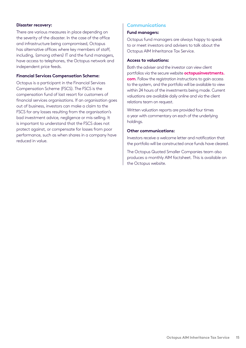#### **Disaster recovery:**

There are various measures in place depending on the severity of the disaster. In the case of the office and infrastructure being compromised, Octopus has alternative offices where key members of staff, including, (among others) IT and the fund managers, have access to telephones, the Octopus network and independent price feeds.

#### **Financial Services Compensation Scheme:**

Octopus is a participant in the Financial Services Compensation Scheme (FSCS). The FSCS is the compensation fund of last resort for customers of financial services organisations. If an organisation goes out of business, investors can make a claim to the FSCS for any losses resulting from the organisation's bad investment advice, negligence or mis-selling. It is important to understand that the FSCS does not protect against, or compensate for losses from poor performance, such as when shares in a company have reduced in value.

# **Communications**

#### **Fund managers:**

Octopus fund managers are always happy to speak to or meet investors and advisers to talk about the Octopus AIM Inheritance Tax Service.

#### **Access to valuations:**

Both the adviser and the investor can view client portfolios via the secure website **octopusinvestments. com**. Follow the registration instructions to gain access to the system, and the portfolio will be available to view within 24 hours of the investments being made. Current valuations are available daily online and via the client relations team on request.

Written valuation reports are provided four times a year with commentary on each of the underlying holdings.

#### **Other communications:**

Investors receive a welcome letter and notification that the portfolio will be constructed once funds have cleared.

The Octopus Quoted Smaller Companies team also produces a monthly AIM factsheet. This is available on the Octopus website.